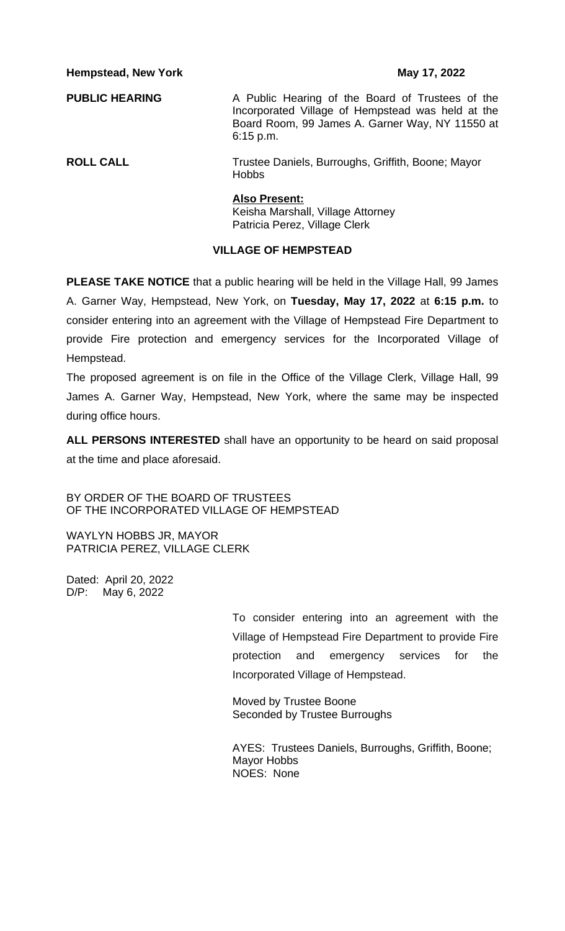**Hempstead, New York May 17, 2022** 

**PUBLIC HEARING** A Public Hearing of the Board of Trustees of the Incorporated Village of Hempstead was held at the Board Room, 99 James A. Garner Way, NY 11550 at 6:15 p.m.

**ROLL CALL** Trustee Daniels, Burroughs, Griffith, Boone; Mayor Hobbs

## **Also Present:**

Keisha Marshall, Village Attorney Patricia Perez, Village Clerk

## **VILLAGE OF HEMPSTEAD**

**PLEASE TAKE NOTICE** that a public hearing will be held in the Village Hall, 99 James A. Garner Way, Hempstead, New York, on **Tuesday, May 17, 2022** at **6:15 p.m.** to consider entering into an agreement with the Village of Hempstead Fire Department to provide Fire protection and emergency services for the Incorporated Village of Hempstead.

The proposed agreement is on file in the Office of the Village Clerk, Village Hall, 99 James A. Garner Way, Hempstead, New York, where the same may be inspected during office hours.

**ALL PERSONS INTERESTED** shall have an opportunity to be heard on said proposal at the time and place aforesaid.

BY ORDER OF THE BOARD OF TRUSTEES OF THE INCORPORATED VILLAGE OF HEMPSTEAD

WAYLYN HOBBS JR, MAYOR PATRICIA PEREZ, VILLAGE CLERK

Dated: April 20, 2022 D/P: May 6, 2022

> To consider entering into an agreement with the Village of Hempstead Fire Department to provide Fire protection and emergency services for the Incorporated Village of Hempstead.

Moved by Trustee Boone Seconded by Trustee Burroughs

AYES: Trustees Daniels, Burroughs, Griffith, Boone; Mayor Hobbs NOES: None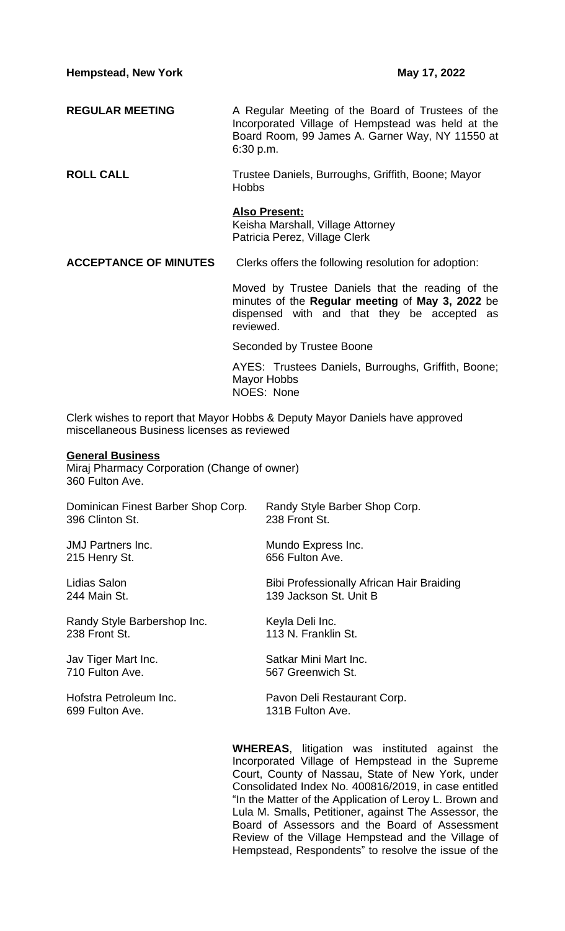- **REGULAR MEETING** A Regular Meeting of the Board of Trustees of the Incorporated Village of Hempstead was held at the Board Room, 99 James A. Garner Way, NY 11550 at 6:30 p.m.
- **ROLL CALL** Trustee Daniels, Burroughs, Griffith, Boone; Mayor **Hobbs**

## **Also Present:**

Keisha Marshall, Village Attorney Patricia Perez, Village Clerk

**ACCEPTANCE OF MINUTES** Clerks offers the following resolution for adoption:

Moved by Trustee Daniels that the reading of the minutes of the **Regular meeting** of **May 3, 2022** be dispensed with and that they be accepted as reviewed.

Seconded by Trustee Boone

AYES: Trustees Daniels, Burroughs, Griffith, Boone; Mayor Hobbs NOES: None

Clerk wishes to report that Mayor Hobbs & Deputy Mayor Daniels have approved miscellaneous Business licenses as reviewed

## **General Business**

Miraj Pharmacy Corporation (Change of owner) 360 Fulton Ave.

Dominican Finest Barber Shop Corp. Randy Style Barber Shop Corp. 396 Clinton St.

215 Henry St. **656 Fulton Ave.** 

Randy Style Barbershop Inc.<br>
238 Front St. (113 N. Franklin

699 Fulton Ave. **131B Fulton Ave.** 

JMJ Partners Inc. **Mundo Express Inc.** Mundo Express Inc.

Lidias Salon Bibi Professionally African Hair Braiding 244 Main St. 139 Jackson St. Unit B

113 N. Franklin St.

Jav Tiger Mart Inc. **Satkar Mini Mart Inc.**<br>110 Fulton Ave. Satkar Mini Mart Inc. 567 Greenwich St.

Hofstra Petroleum Inc. **Pavon Deli Restaurant Corp.** 

**WHEREAS**, litigation was instituted against the Incorporated Village of Hempstead in the Supreme Court, County of Nassau, State of New York, under Consolidated Index No. 400816/2019, in case entitled "In the Matter of the Application of Leroy L. Brown and Lula M. Smalls, Petitioner, against The Assessor, the Board of Assessors and the Board of Assessment Review of the Village Hempstead and the Village of Hempstead, Respondents" to resolve the issue of the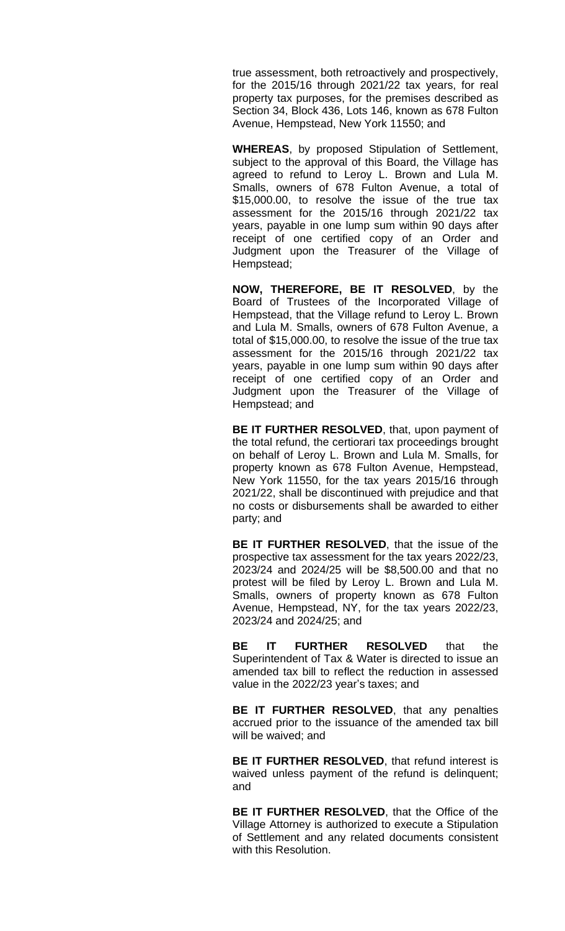true assessment, both retroactively and prospectively, for the 2015/16 through 2021/22 tax years, for real property tax purposes, for the premises described as Section 34, Block 436, Lots 146, known as 678 Fulton Avenue, Hempstead, New York 11550; and

**WHEREAS**, by proposed Stipulation of Settlement, subject to the approval of this Board, the Village has agreed to refund to Leroy L. Brown and Lula M. Smalls, owners of 678 Fulton Avenue, a total of \$15,000.00, to resolve the issue of the true tax assessment for the 2015/16 through 2021/22 tax years, payable in one lump sum within 90 days after receipt of one certified copy of an Order and Judgment upon the Treasurer of the Village of Hempstead;

**NOW, THEREFORE, BE IT RESOLVED**, by the Board of Trustees of the Incorporated Village of Hempstead, that the Village refund to Leroy L. Brown and Lula M. Smalls, owners of 678 Fulton Avenue, a total of \$15,000.00, to resolve the issue of the true tax assessment for the 2015/16 through 2021/22 tax years, payable in one lump sum within 90 days after receipt of one certified copy of an Order and Judgment upon the Treasurer of the Village of Hempstead; and

**BE IT FURTHER RESOLVED**, that, upon payment of the total refund, the certiorari tax proceedings brought on behalf of Leroy L. Brown and Lula M. Smalls, for property known as 678 Fulton Avenue, Hempstead, New York 11550, for the tax years 2015/16 through 2021/22, shall be discontinued with prejudice and that no costs or disbursements shall be awarded to either party; and

**BE IT FURTHER RESOLVED**, that the issue of the prospective tax assessment for the tax years 2022/23, 2023/24 and 2024/25 will be \$8,500.00 and that no protest will be filed by Leroy L. Brown and Lula M. Smalls, owners of property known as 678 Fulton Avenue, Hempstead, NY, for the tax years 2022/23, 2023/24 and 2024/25; and

**BE IT FURTHER RESOLVED** that the Superintendent of Tax & Water is directed to issue an amended tax bill to reflect the reduction in assessed value in the 2022/23 year's taxes; and

**BE IT FURTHER RESOLVED**, that any penalties accrued prior to the issuance of the amended tax bill will be waived; and

**BE IT FURTHER RESOLVED**, that refund interest is waived unless payment of the refund is delinquent; and

**BE IT FURTHER RESOLVED**, that the Office of the Village Attorney is authorized to execute a Stipulation of Settlement and any related documents consistent with this Resolution.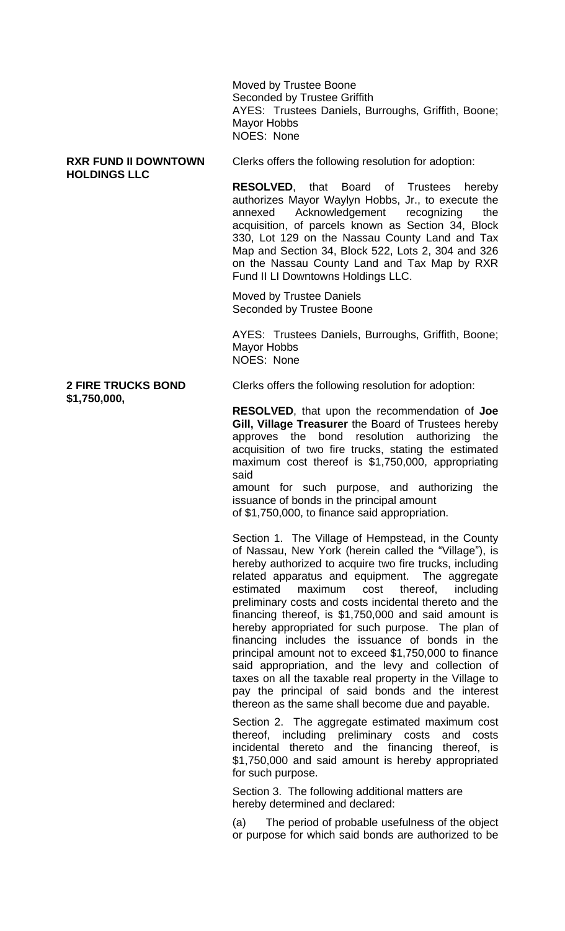Moved by Trustee Boone Seconded by Trustee Griffith AYES: Trustees Daniels, Burroughs, Griffith, Boone; Mayor Hobbs NOES: None

# **HOLDINGS LLC**

**RXR FUND II DOWNTOWN** Clerks offers the following resolution for adoption:

**RESOLVED**, that Board of Trustees hereby authorizes Mayor Waylyn Hobbs, Jr., to execute the Acknowledgement recognizing the acquisition, of parcels known as Section 34, Block 330, Lot 129 on the Nassau County Land and Tax Map and Section 34, Block 522, Lots 2, 304 and 326 on the Nassau County Land and Tax Map by RXR Fund II LI Downtowns Holdings LLC.

Moved by Trustee Daniels Seconded by Trustee Boone

AYES: Trustees Daniels, Burroughs, Griffith, Boone; Mayor Hobbs NOES: None

**2 FIRE TRUCKS BOND** Clerks offers the following resolution for adoption:

**RESOLVED**, that upon the recommendation of **Joe Gill, Village Treasurer** the Board of Trustees hereby approves the bond resolution authorizing the acquisition of two fire trucks, stating the estimated maximum cost thereof is \$1,750,000, appropriating said

amount for such purpose, and authorizing the issuance of bonds in the principal amount of \$1,750,000, to finance said appropriation.

Section 1. The Village of Hempstead, in the County of Nassau, New York (herein called the "Village"), is hereby authorized to acquire two fire trucks, including related apparatus and equipment. The aggregate estimated maximum cost thereof, including preliminary costs and costs incidental thereto and the financing thereof, is \$1,750,000 and said amount is hereby appropriated for such purpose. The plan of financing includes the issuance of bonds in the principal amount not to exceed \$1,750,000 to finance said appropriation, and the levy and collection of taxes on all the taxable real property in the Village to pay the principal of said bonds and the interest thereon as the same shall become due and payable.

Section 2. The aggregate estimated maximum cost thereof, including preliminary costs and costs incidental thereto and the financing thereof, is \$1,750,000 and said amount is hereby appropriated for such purpose.

Section 3. The following additional matters are hereby determined and declared:

(a) The period of probable usefulness of the object or purpose for which said bonds are authorized to be

# **\$1,750,000,**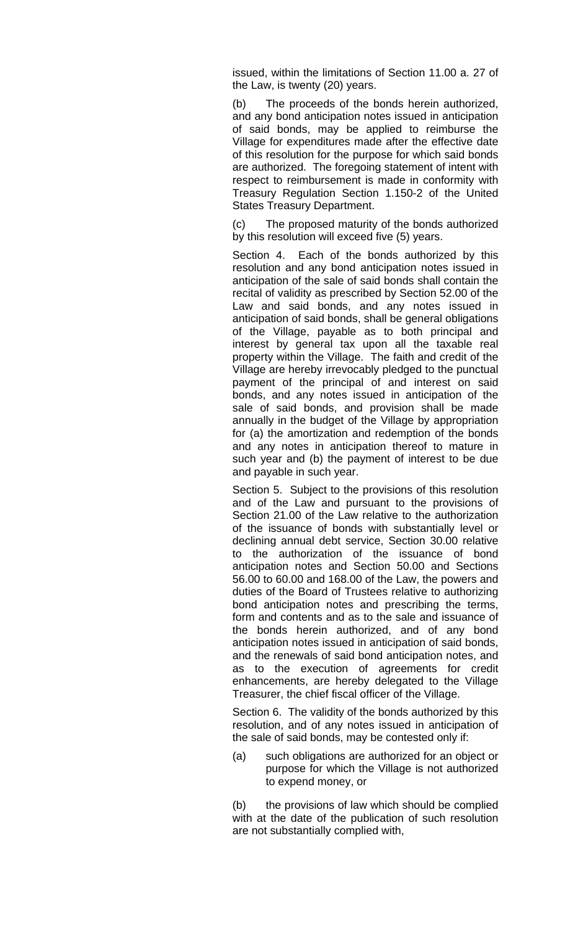issued, within the limitations of Section 11.00 a. 27 of the Law, is twenty (20) years.

(b) The proceeds of the bonds herein authorized, and any bond anticipation notes issued in anticipation of said bonds, may be applied to reimburse the Village for expenditures made after the effective date of this resolution for the purpose for which said bonds are authorized. The foregoing statement of intent with respect to reimbursement is made in conformity with Treasury Regulation Section 1.150-2 of the United States Treasury Department.

(c) The proposed maturity of the bonds authorized by this resolution will exceed five (5) years.

Section 4. Each of the bonds authorized by this resolution and any bond anticipation notes issued in anticipation of the sale of said bonds shall contain the recital of validity as prescribed by Section 52.00 of the Law and said bonds, and any notes issued in anticipation of said bonds, shall be general obligations of the Village, payable as to both principal and interest by general tax upon all the taxable real property within the Village. The faith and credit of the Village are hereby irrevocably pledged to the punctual payment of the principal of and interest on said bonds, and any notes issued in anticipation of the sale of said bonds, and provision shall be made annually in the budget of the Village by appropriation for (a) the amortization and redemption of the bonds and any notes in anticipation thereof to mature in such year and (b) the payment of interest to be due and payable in such year.

Section 5. Subject to the provisions of this resolution and of the Law and pursuant to the provisions of Section 21.00 of the Law relative to the authorization of the issuance of bonds with substantially level or declining annual debt service, Section 30.00 relative to the authorization of the issuance of bond anticipation notes and Section 50.00 and Sections 56.00 to 60.00 and 168.00 of the Law, the powers and duties of the Board of Trustees relative to authorizing bond anticipation notes and prescribing the terms, form and contents and as to the sale and issuance of the bonds herein authorized, and of any bond anticipation notes issued in anticipation of said bonds, and the renewals of said bond anticipation notes, and as to the execution of agreements for credit enhancements, are hereby delegated to the Village Treasurer, the chief fiscal officer of the Village.

Section 6. The validity of the bonds authorized by this resolution, and of any notes issued in anticipation of the sale of said bonds, may be contested only if:

(a) such obligations are authorized for an object or purpose for which the Village is not authorized to expend money, or

(b) the provisions of law which should be complied with at the date of the publication of such resolution are not substantially complied with,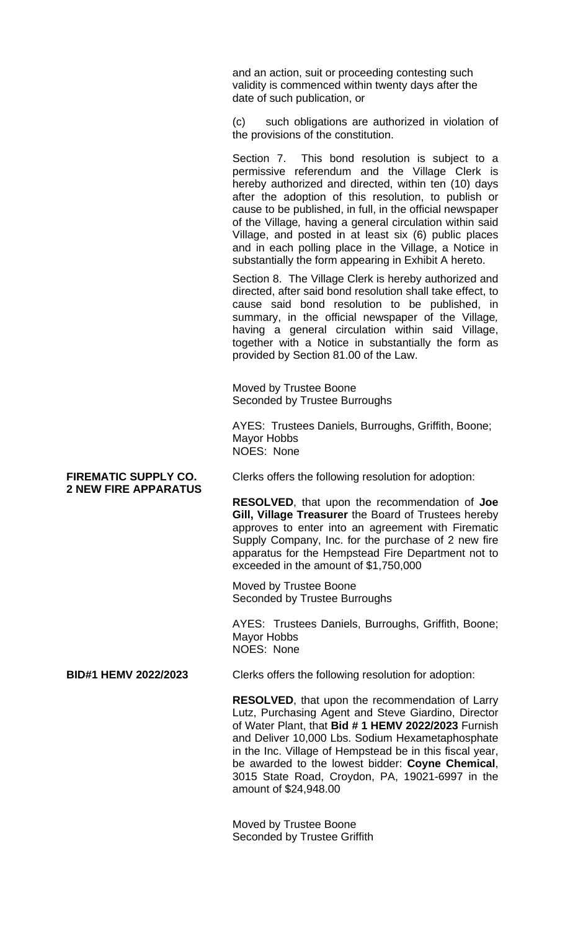and an action, suit or proceeding contesting such validity is commenced within twenty days after the date of such publication, or

(c) such obligations are authorized in violation of the provisions of the constitution.

Section 7. This bond resolution is subject to a permissive referendum and the Village Clerk is hereby authorized and directed, within ten (10) days after the adoption of this resolution, to publish or cause to be published, in full, in the official newspaper of the Village*,* having a general circulation within said Village, and posted in at least six (6) public places and in each polling place in the Village, a Notice in substantially the form appearing in Exhibit A hereto.

Section 8. The Village Clerk is hereby authorized and directed, after said bond resolution shall take effect, to cause said bond resolution to be published, in summary, in the official newspaper of the Village*,* having a general circulation within said Village, together with a Notice in substantially the form as provided by Section 81.00 of the Law.

Moved by Trustee Boone Seconded by Trustee Burroughs

AYES: Trustees Daniels, Burroughs, Griffith, Boone; Mayor Hobbs NOES: None

# **2 NEW FIRE APPARATUS**

FIREMATIC SUPPLY CO. Clerks offers the following resolution for adoption:

**RESOLVED**, that upon the recommendation of **Joe Gill, Village Treasurer** the Board of Trustees hereby approves to enter into an agreement with Firematic Supply Company, Inc. for the purchase of 2 new fire apparatus for the Hempstead Fire Department not to exceeded in the amount of \$1,750,000

Moved by Trustee Boone Seconded by Trustee Burroughs

AYES: Trustees Daniels, Burroughs, Griffith, Boone; Mayor Hobbs NOES: None

**BID#1 HEMV 2022/2023** Clerks offers the following resolution for adoption:

**RESOLVED**, that upon the recommendation of Larry Lutz, Purchasing Agent and Steve Giardino, Director of Water Plant, that **Bid # 1 HEMV 2022/2023** Furnish and Deliver 10,000 Lbs. Sodium Hexametaphosphate in the Inc. Village of Hempstead be in this fiscal year, be awarded to the lowest bidder: **Coyne Chemical**, 3015 State Road, Croydon, PA, 19021-6997 in the amount of \$24,948.00

Moved by Trustee Boone Seconded by Trustee Griffith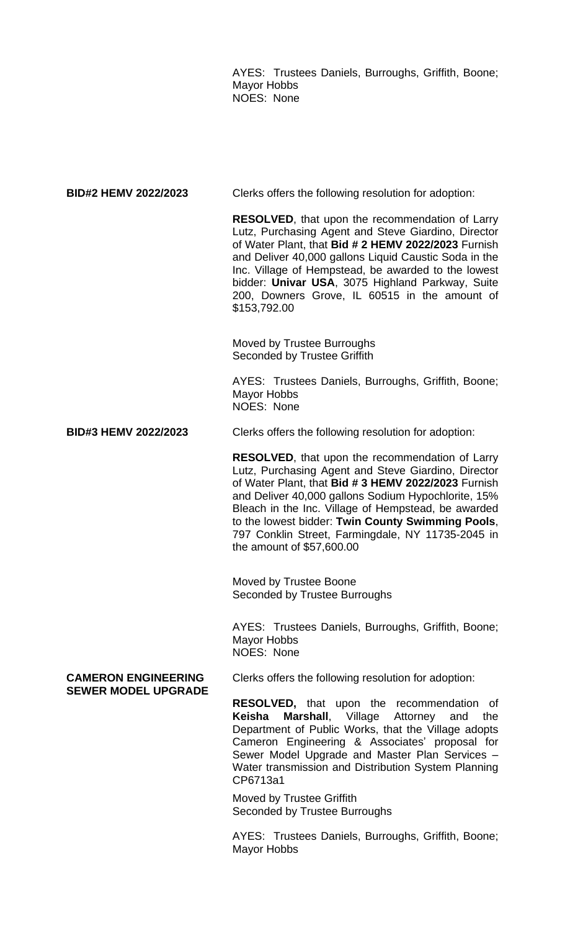AYES: Trustees Daniels, Burroughs, Griffith, Boone; Mayor Hobbs NOES: None

| <b>BID#2 HEMV 2022/2023</b>                              | Clerks offers the following resolution for adoption:                                                                                                                                                                                                                                                                                                                                                                      |
|----------------------------------------------------------|---------------------------------------------------------------------------------------------------------------------------------------------------------------------------------------------------------------------------------------------------------------------------------------------------------------------------------------------------------------------------------------------------------------------------|
|                                                          | <b>RESOLVED, that upon the recommendation of Larry</b><br>Lutz, Purchasing Agent and Steve Giardino, Director<br>of Water Plant, that Bid # 2 HEMV 2022/2023 Furnish<br>and Deliver 40,000 gallons Liquid Caustic Soda in the<br>Inc. Village of Hempstead, be awarded to the lowest<br>bidder: Univar USA, 3075 Highland Parkway, Suite<br>200, Downers Grove, IL 60515 in the amount of<br>\$153,792.00                 |
|                                                          | Moved by Trustee Burroughs<br><b>Seconded by Trustee Griffith</b>                                                                                                                                                                                                                                                                                                                                                         |
|                                                          | AYES: Trustees Daniels, Burroughs, Griffith, Boone;<br><b>Mayor Hobbs</b><br>NOES: None                                                                                                                                                                                                                                                                                                                                   |
| <b>BID#3 HEMV 2022/2023</b>                              | Clerks offers the following resolution for adoption:                                                                                                                                                                                                                                                                                                                                                                      |
|                                                          | <b>RESOLVED, that upon the recommendation of Larry</b><br>Lutz, Purchasing Agent and Steve Giardino, Director<br>of Water Plant, that Bid # 3 HEMV 2022/2023 Furnish<br>and Deliver 40,000 gallons Sodium Hypochlorite, 15%<br>Bleach in the Inc. Village of Hempstead, be awarded<br>to the lowest bidder: Twin County Swimming Pools,<br>797 Conklin Street, Farmingdale, NY 11735-2045 in<br>the amount of \$57,600.00 |
|                                                          | Moved by Trustee Boone<br>Seconded by Trustee Burroughs                                                                                                                                                                                                                                                                                                                                                                   |
|                                                          | AYES: Trustees Daniels, Burroughs, Griffith, Boone;<br><b>Mayor Hobbs</b><br>NOES: None                                                                                                                                                                                                                                                                                                                                   |
| <b>CAMERON ENGINEERING</b><br><b>SEWER MODEL UPGRADE</b> | Clerks offers the following resolution for adoption:                                                                                                                                                                                                                                                                                                                                                                      |
|                                                          | <b>RESOLVED,</b> that upon the recommendation of<br>Marshall, Village<br>Keisha<br>Attorney<br>and<br>the<br>Department of Public Works, that the Village adopts<br>Cameron Engineering & Associates' proposal for                                                                                                                                                                                                        |

CP6713a1 Moved by Trustee Griffith Seconded by Trustee Burroughs

AYES: Trustees Daniels, Burroughs, Griffith, Boone; Mayor Hobbs

Sewer Model Upgrade and Master Plan Services – Water transmission and Distribution System Planning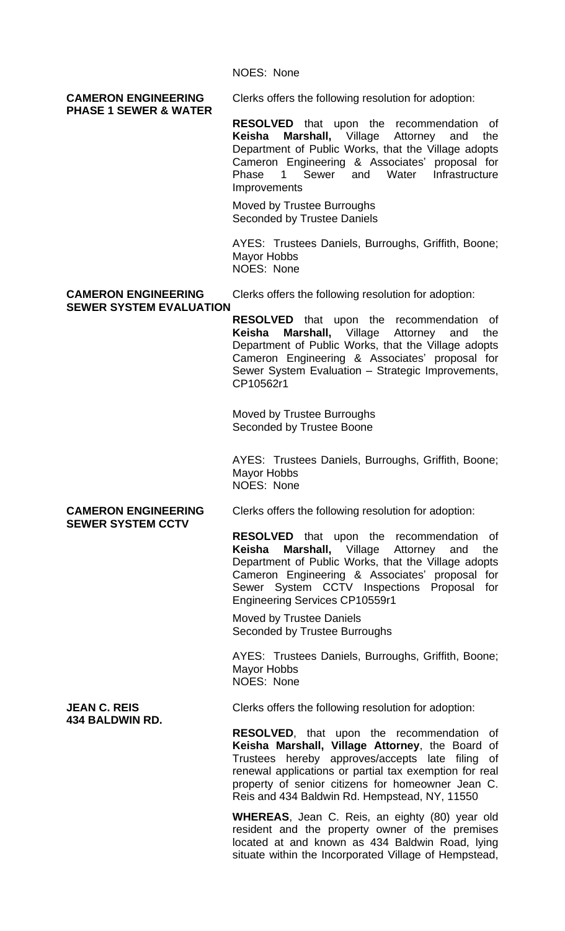NOES: None

# **PHASE 1 SEWER & WATER**

**CAMERON ENGINEERING** Clerks offers the following resolution for adoption:

**RESOLVED** that upon the recommendation of **Keisha Marshall,** Village Attorney and the Department of Public Works, that the Village adopts Cameron Engineering & Associates' proposal for Phase 1 Sewer and Water Infrastructure **Improvements** 

Moved by Trustee Burroughs Seconded by Trustee Daniels

AYES: Trustees Daniels, Burroughs, Griffith, Boone; Mayor Hobbs NOES: None

## **SEWER SYSTEM EVALUATION**

**CAMERON ENGINEERING** Clerks offers the following resolution for adoption:

**RESOLVED** that upon the recommendation of **Keisha Marshall,** Village Attorney and the Department of Public Works, that the Village adopts Cameron Engineering & Associates' proposal for Sewer System Evaluation – Strategic Improvements, CP10562r1

Moved by Trustee Burroughs Seconded by Trustee Boone

AYES: Trustees Daniels, Burroughs, Griffith, Boone; Mayor Hobbs NOES: None

# **SEWER SYSTEM CCTV**

**CAMERON ENGINEERING** Clerks offers the following resolution for adoption:

**RESOLVED** that upon the recommendation of **Keisha Marshall,** Village Attorney and the Department of Public Works, that the Village adopts Cameron Engineering & Associates' proposal for Sewer System CCTV Inspections Proposal for Engineering Services CP10559r1

Moved by Trustee Daniels Seconded by Trustee Burroughs

AYES: Trustees Daniels, Burroughs, Griffith, Boone; Mayor Hobbs NOES: None

**JEAN C. REIS** Clerks offers the following resolution for adoption:

**RESOLVED**, that upon the recommendation of **Keisha Marshall, Village Attorney**, the Board of Trustees hereby approves/accepts late filing of renewal applications or partial tax exemption for real property of senior citizens for homeowner Jean C. Reis and 434 Baldwin Rd. Hempstead, NY, 11550

**WHEREAS**, Jean C. Reis, an eighty (80) year old resident and the property owner of the premises located at and known as 434 Baldwin Road, lying situate within the Incorporated Village of Hempstead,

**434 BALDWIN RD.**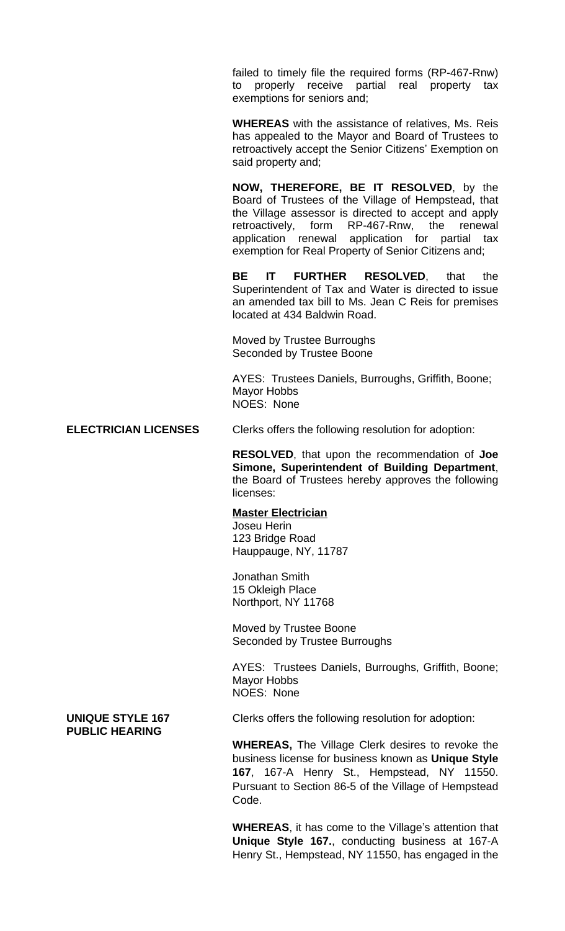failed to timely file the required forms (RP-467-Rnw) to properly receive partial real property tax exemptions for seniors and;

**WHEREAS** with the assistance of relatives, Ms. Reis has appealed to the Mayor and Board of Trustees to retroactively accept the Senior Citizens' Exemption on said property and;

**NOW, THEREFORE, BE IT RESOLVED**, by the Board of Trustees of the Village of Hempstead, that the Village assessor is directed to accept and apply retroactively, form RP-467-Rnw, the renewal application renewal application for partial tax exemption for Real Property of Senior Citizens and;

**BE IT FURTHER RESOLVED**, that the Superintendent of Tax and Water is directed to issue an amended tax bill to Ms. Jean C Reis for premises located at 434 Baldwin Road.

Moved by Trustee Burroughs Seconded by Trustee Boone

AYES: Trustees Daniels, Burroughs, Griffith, Boone; Mayor Hobbs NOES: None

## **ELECTRICIAN LICENSES** Clerks offers the following resolution for adoption:

**RESOLVED**, that upon the recommendation of **Joe Simone, Superintendent of Building Department**, the Board of Trustees hereby approves the following licenses:

## **Master Electrician**

Joseu Herin 123 Bridge Road Hauppauge, NY, 11787

Jonathan Smith 15 Okleigh Place Northport, NY 11768

Moved by Trustee Boone Seconded by Trustee Burroughs

AYES: Trustees Daniels, Burroughs, Griffith, Boone; Mayor Hobbs NOES: None

**PUBLIC HEARING**

**UNIQUE STYLE 167** Clerks offers the following resolution for adoption:

**WHEREAS,** The Village Clerk desires to revoke the business license for business known as **Unique Style 167**, 167-A Henry St., Hempstead, NY 11550. Pursuant to Section 86-5 of the Village of Hempstead Code.

**WHEREAS**, it has come to the Village's attention that **Unique Style 167.**, conducting business at 167-A Henry St., Hempstead, NY 11550, has engaged in the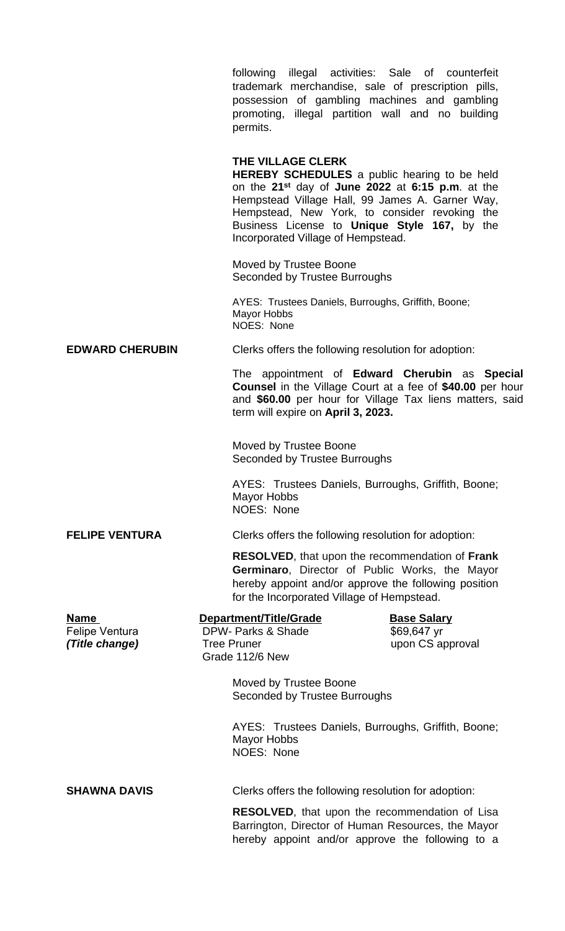following illegal activities: Sale of counterfeit trademark merchandise, sale of prescription pills, possession of gambling machines and gambling promoting, illegal partition wall and no building permits.

## **THE VILLAGE CLERK**

**HEREBY SCHEDULES** a public hearing to be held on the **21st** day of **June 2022** at **6:15 p.m**. at the Hempstead Village Hall, 99 James A. Garner Way, Hempstead, New York, to consider revoking the Business License to **Unique Style 167,** by the Incorporated Village of Hempstead.

Moved by Trustee Boone Seconded by Trustee Burroughs

AYES: Trustees Daniels, Burroughs, Griffith, Boone; Mayor Hobbs NOES: None

**EDWARD CHERUBIN** Clerks offers the following resolution for adoption:

The appointment of **Edward Cherubin** as **Special Counsel** in the Village Court at a fee of **\$40.00** per hour and **\$60.00** per hour for Village Tax liens matters, said term will expire on **April 3, 2023.**

Moved by Trustee Boone Seconded by Trustee Burroughs

AYES: Trustees Daniels, Burroughs, Griffith, Boone; Mayor Hobbs NOES: None

**FELIPE VENTURA** Clerks offers the following resolution for adoption:

**RESOLVED**, that upon the recommendation of **Frank Germinaro**, Director of Public Works, the Mayor hereby appoint and/or approve the following position for the Incorporated Village of Hempstead.

| <b>Name</b>           | Department/Title/Grade                                  | <b>Base Salary</b>                                  |
|-----------------------|---------------------------------------------------------|-----------------------------------------------------|
| <b>Felipe Ventura</b> | DPW- Parks & Shade                                      | \$69,647 yr                                         |
| (Title change)        | <b>Tree Pruner</b>                                      | upon CS approval                                    |
|                       | Grade 112/6 New                                         |                                                     |
|                       | Moved by Trustee Boone<br>Seconded by Trustee Burroughs |                                                     |
|                       | Mayor Hobbs<br><b>NOES: None</b>                        | AYES: Trustees Daniels, Burroughs, Griffith, Boone; |

**SHAWNA DAVIS** Clerks offers the following resolution for adoption:

**RESOLVED**, that upon the recommendation of Lisa Barrington, Director of Human Resources, the Mayor hereby appoint and/or approve the following to a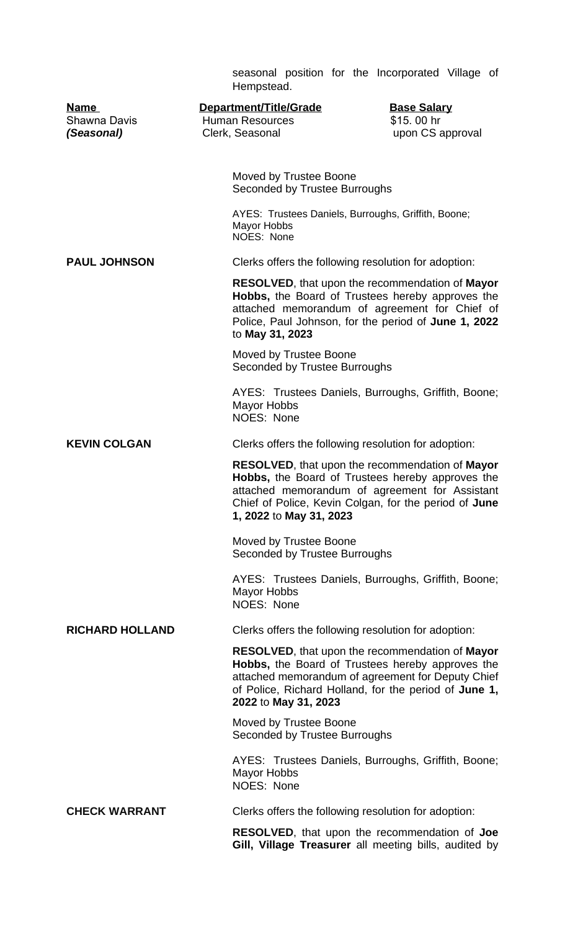|                                                  | seasonal position for the Incorporated Village of<br>Hempstead.                                                                                                                                                                                         |
|--------------------------------------------------|---------------------------------------------------------------------------------------------------------------------------------------------------------------------------------------------------------------------------------------------------------|
| <b>Name</b><br><b>Shawna Davis</b><br>(Seasonal) | Department/Title/Grade<br><b>Base Salary</b><br><b>Human Resources</b><br>\$15.00 hr<br>upon CS approval<br>Clerk, Seasonal                                                                                                                             |
|                                                  | Moved by Trustee Boone<br>Seconded by Trustee Burroughs                                                                                                                                                                                                 |
|                                                  | AYES: Trustees Daniels, Burroughs, Griffith, Boone;<br><b>Mayor Hobbs</b><br>NOES: None                                                                                                                                                                 |
| <b>PAUL JOHNSON</b>                              | Clerks offers the following resolution for adoption:                                                                                                                                                                                                    |
|                                                  | <b>RESOLVED, that upon the recommendation of Mayor</b><br>Hobbs, the Board of Trustees hereby approves the<br>attached memorandum of agreement for Chief of<br>Police, Paul Johnson, for the period of June 1, 2022<br>to May 31, 2023                  |
|                                                  | Moved by Trustee Boone<br>Seconded by Trustee Burroughs                                                                                                                                                                                                 |
|                                                  | AYES: Trustees Daniels, Burroughs, Griffith, Boone;<br>Mayor Hobbs<br>NOES: None                                                                                                                                                                        |
| <b>KEVIN COLGAN</b>                              | Clerks offers the following resolution for adoption:                                                                                                                                                                                                    |
|                                                  | RESOLVED, that upon the recommendation of Mayor<br>Hobbs, the Board of Trustees hereby approves the<br>attached memorandum of agreement for Assistant<br>Chief of Police, Kevin Colgan, for the period of June<br>1, 2022 to May 31, 2023               |
|                                                  | Moved by Trustee Boone<br>Seconded by Trustee Burroughs                                                                                                                                                                                                 |
|                                                  | AYES: Trustees Daniels, Burroughs, Griffith, Boone;<br><b>Mayor Hobbs</b><br>NOES: None                                                                                                                                                                 |
| <b>RICHARD HOLLAND</b>                           | Clerks offers the following resolution for adoption:                                                                                                                                                                                                    |
|                                                  | <b>RESOLVED, that upon the recommendation of Mayor</b><br><b>Hobbs,</b> the Board of Trustees hereby approves the<br>attached memorandum of agreement for Deputy Chief<br>of Police, Richard Holland, for the period of June 1,<br>2022 to May 31, 2023 |
|                                                  | Moved by Trustee Boone<br>Seconded by Trustee Burroughs                                                                                                                                                                                                 |
|                                                  | AYES: Trustees Daniels, Burroughs, Griffith, Boone;<br><b>Mayor Hobbs</b><br>NOES: None                                                                                                                                                                 |
| <b>CHECK WARRANT</b>                             | Clerks offers the following resolution for adoption:                                                                                                                                                                                                    |
|                                                  | <b>RESOLVED, that upon the recommendation of Joe</b><br>Gill, Village Treasurer all meeting bills, audited by                                                                                                                                           |